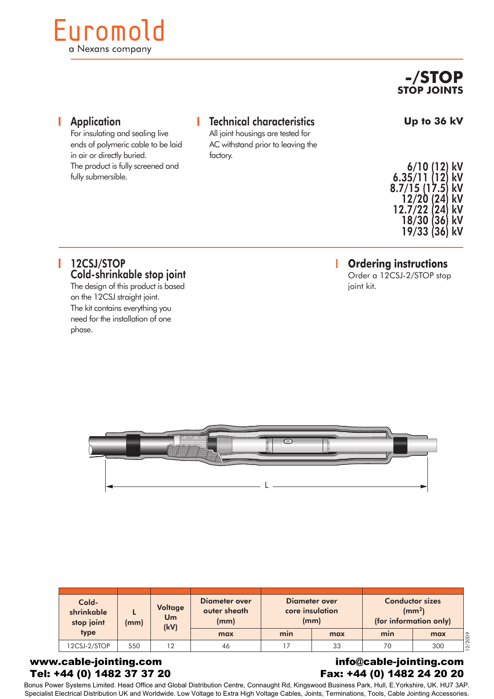# Euromold a Nexans company

**-/STOP STOP JOINTS**

**Up to 36 kV**

#### T **Application** For insulating and sealing live

# Technical characteristics

All joint housings are tested for AC withstand prior to leaving the factory.

| 6/10 (12)<br>6.35/11(12)    | kV<br>kV |
|-----------------------------|----------|
| 8.7/15 (17.5)<br>12/20 (24) | kV<br>kV |
| 12.7/22 (24)<br>18/30 (36)  | kV<br>kV |
| 19/33 (36)                  | kV       |

#### **Ordering instructions** Г

Order a 12CSJ-2/STOP stop joint kit.

### 12CSJ/STOP Cold-shrinkable stop joint

ends of polymeric cable to be laid

The product is fully screened and

in air or directly buried.

fully submersible.

The design of this product is based on the 12CSJ straight joint. The kit contains everything you need for the installation of one phase.



| Cold-<br>shrinkable<br>stop joint | Voltage<br>Um<br>(mm) |      | Diameter over<br>outer sheath<br>(mm) |     | Diameter over<br>core insulation<br>(mm) | <b>Conductor sizes</b><br>$\rm (mm^2)$<br>(for information only) |     |  |
|-----------------------------------|-----------------------|------|---------------------------------------|-----|------------------------------------------|------------------------------------------------------------------|-----|--|
| type                              |                       | (kV) | max                                   | min | max                                      | min                                                              | max |  |
| 12CSJ-2/STOP                      | 550                   | 12   | 46                                    |     | 33                                       | 70                                                               | 300 |  |

#### www.cable-jointing.com Tel: +44 (0) 1482 37 37 20

#### info@cable-jointing.com Fax: +44 (0) 1482 24 20 20

Bonus Power Systems Limited. Head Office and Global Distribution Centre, Connaught Rd, Kingswood Business Park, Hull, E.Yorkshire, UK. HU7 3AP. Specialist Electrical Distribution UK and Worldwide. Low Voltage to Extra High Voltage Cables, Joints, Terminations, Tools, Cable Jointing Accessories.